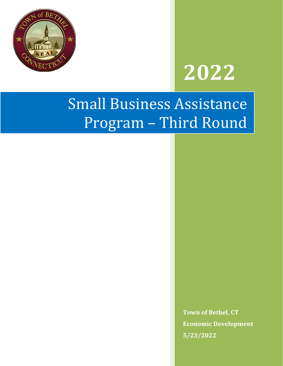

# **2022**

## Small Business Assistance Program – Third Round

**Town of Bethel, CT Economic Development 5/23/2022**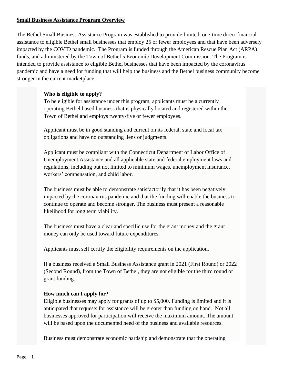#### **Small Business Assistance Program Overview**

The Bethel Small Business Assistance Program was established to provide limited, one-time direct financial assistance to eligible Bethel small businesses that employ 25 or fewer employees and that have been adversely impacted by the COVID pandemic. The Program is funded through the American Rescue Plan Act (ARPA) funds, and administered by the Town of Bethel's Economic Development Commission. The Program is intended to provide assistance to eligible Bethel businesses that have been impacted by the coronavirus pandemic and have a need for funding that will help the business and the Bethel business community become stronger in the current marketplace.

#### **Who is eligible to apply?**

To be eligible for assistance under this program, applicants must be a currently operating Bethel based business that is physically located and registered within the Town of Bethel and employs twenty-five or fewer employees.

Applicant must be in good standing and current on its federal, state and local tax obligations and have no outstanding liens or judgments.

Applicant must be compliant with the Connecticut Department of Labor Office of Unemployment Assistance and all applicable state and federal employment laws and regulations, including but not limited to minimum wages, unemployment insurance, workers' compensation, and child labor.

The business must be able to demonstrate satisfactorily that it has been negatively impacted by the coronavirus pandemic and that the funding will enable the business to continue to operate and become stronger. The business must present a reasonable likelihood for long term viability.

The business must have a clear and specific use for the grant money and the grant money can only be used toward future expenditures.

Applicants must self certify the eligibility requirements on the application.

If a business received a Small Business Assistance grant in 2021 (First Round) or 2022 (Second Round), from the Town of Bethel, they are not eligible for the third round of grant funding.

#### **How much can I apply for?**

Eligible businesses may apply for grants of up to \$5,000. Funding is limited and it is anticipated that requests for assistance will be greater than funding on hand. Not all businesses approved for participation will receive the maximum amount. The amount will be based upon the documented need of the business and available resources.

Business must demonstrate economic hardship and demonstrate that the operating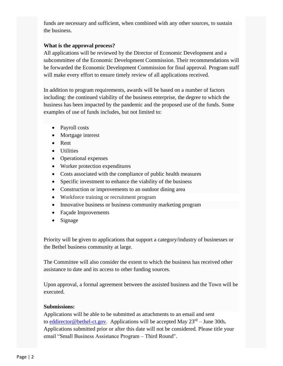funds are necessary and sufficient, when combined with any other sources, to sustain the business.

#### **What is the approval process?**

All applications will be reviewed by the Director of Economic Development and a subcommittee of the Economic Development Commission. Their recommendations will be forwarded the Economic Development Commission for final approval. Program staff will make every effort to ensure timely review of all applications received.

In addition to program requirements, awards will be based on a number of factors including: the continued viability of the business enterprise, the degree to which the business has been impacted by the pandemic and the proposed use of the funds. Some examples of use of funds includes, but not limited to:

- Payroll costs
- Mortgage interest
- Rent
- Utilities
- Operational expenses
- Worker protection expenditures
- Costs associated with the compliance of public health measures
- Specific investment to enhance the viability of the business
- Construction or improvements to an outdoor dining area
- Workforce training or recruitment program
- Innovative business or business community marketing program
- Façade Improvements
- Signage

Priority will be given to applications that support a category/industry of businesses or the Bethel business community at large.

The Committee will also consider the extent to which the business has received other assistance to date and its access to other funding sources.

Upon approval, a formal agreement between the assisted business and the Town will be executed.

#### **Submissions:**

Applications will be able to be submitted as attachments to an email and sent to [eddirector@bethel-ct.gov.](mailto:eddirector@bethel-ct.gov) Applications will be accepted May 23rd – June 30th**.** Applications submitted prior or after this date will not be considered. Please title your email "Small Business Assistance Program – Third Round".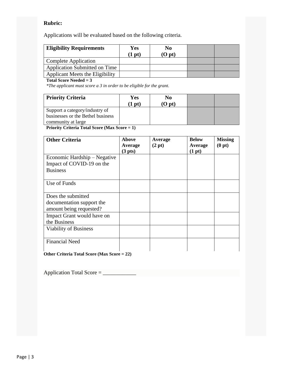#### **Rubric:**

Applications will be evaluated based on the following criteria.

| <b>Eligibility Requirements</b> | Yes<br>$1$ pt) | No<br>$(O$ pt $)$ |  |
|---------------------------------|----------------|-------------------|--|
| <b>Complete Application</b>     |                |                   |  |
| Application Submitted on Time   |                |                   |  |
| Applicant Meets the Eligibility |                |                   |  |

#### **Total Score Needed = 3**

*\*The applicant must score a 3 in order to be eligible for the grant.*

| <b>Priority Criteria</b>                                            | Yes<br>$1$ pt) | No<br>(O pt) |  |
|---------------------------------------------------------------------|----------------|--------------|--|
| Support a category/industry of<br>businesses or the Bethel business |                |              |  |
| community at large<br>______________<br>$  -$                       |                |              |  |

**Priority Criteria Total Score (Max Score = 1)**

| <b>Other Criteria</b>        | Above<br>Average    | Average<br>(2 pt) | <b>Below</b><br>Average | <b>Missing</b><br>(0 pt) |
|------------------------------|---------------------|-------------------|-------------------------|--------------------------|
|                              | (3 <sub>pts</sub> ) |                   | (1 pt)                  |                          |
| Economic Hardship - Negative |                     |                   |                         |                          |
| Impact of COVID-19 on the    |                     |                   |                         |                          |
| <b>Business</b>              |                     |                   |                         |                          |
|                              |                     |                   |                         |                          |
| Use of Funds                 |                     |                   |                         |                          |
|                              |                     |                   |                         |                          |
| Does the submitted           |                     |                   |                         |                          |
| documentation support the    |                     |                   |                         |                          |
| amount being requested?      |                     |                   |                         |                          |
| Impact Grant would have on   |                     |                   |                         |                          |
| the Business                 |                     |                   |                         |                          |
| Viability of Business        |                     |                   |                         |                          |
|                              |                     |                   |                         |                          |
| <b>Financial Need</b>        |                     |                   |                         |                          |
|                              |                     |                   |                         |                          |

**Other Criteria Total Score (Max Score = 22)**

Application Total Score = \_\_\_\_\_\_\_\_\_\_\_\_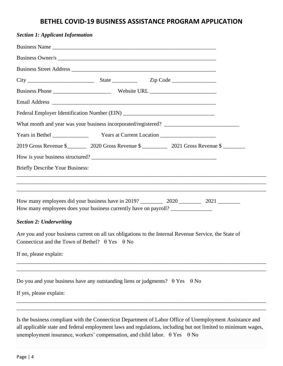### **BETHEL COVID-19 BUSINESS ASSISTANCE PROGRAM APPLICATION**

| <b>Section 1: Applicant Information</b>                                                                                                                                |  |  |
|------------------------------------------------------------------------------------------------------------------------------------------------------------------------|--|--|
|                                                                                                                                                                        |  |  |
|                                                                                                                                                                        |  |  |
|                                                                                                                                                                        |  |  |
| $City$ $2ip Code$                                                                                                                                                      |  |  |
|                                                                                                                                                                        |  |  |
|                                                                                                                                                                        |  |  |
| Federal Employer Identification Number (EIN) ___________________________________                                                                                       |  |  |
|                                                                                                                                                                        |  |  |
|                                                                                                                                                                        |  |  |
|                                                                                                                                                                        |  |  |
|                                                                                                                                                                        |  |  |
| <b>Briefly Describe Your Business:</b>                                                                                                                                 |  |  |
| <u> 1989 - Johann Stoff, amerikan bestein de stad in de stad in de stad in de stad in de stad in de stad in de st</u>                                                  |  |  |
|                                                                                                                                                                        |  |  |
| How many employees does your business currently have on payroll? _______________                                                                                       |  |  |
| <b>Section 2: Underwriting</b>                                                                                                                                         |  |  |
| Are you and your business current on all tax obligations to the Internal Revenue Service, the State of<br>Connecticut and the Town of Bethel? $\theta$ Yes $\theta$ No |  |  |
| If no, please explain:                                                                                                                                                 |  |  |
|                                                                                                                                                                        |  |  |
| Do you and your business have any outstanding liens or judgments? $\theta$ Yes $\theta$ No                                                                             |  |  |
| If yes, please explain:                                                                                                                                                |  |  |

Is the business compliant with the Connecticut Department of Labor Office of Unemployment Assistance and all applicable state and federal employment laws and regulations, including but not limited to minimum wages, unemployment insurance, workers' compensation, and child labor.  $\theta$  Yes  $\theta$  No

\_\_\_\_\_\_\_\_\_\_\_\_\_\_\_\_\_\_\_\_\_\_\_\_\_\_\_\_\_\_\_\_\_\_\_\_\_\_\_\_\_\_\_\_\_\_\_\_\_\_\_\_\_\_\_\_\_\_\_\_\_\_\_\_\_\_\_\_\_\_\_\_\_\_\_\_\_\_\_\_\_\_\_\_\_\_\_\_\_\_ \_\_\_\_\_\_\_\_\_\_\_\_\_\_\_\_\_\_\_\_\_\_\_\_\_\_\_\_\_\_\_\_\_\_\_\_\_\_\_\_\_\_\_\_\_\_\_\_\_\_\_\_\_\_\_\_\_\_\_\_\_\_\_\_\_\_\_\_\_\_\_\_\_\_\_\_\_\_\_\_\_\_\_\_\_\_\_\_\_\_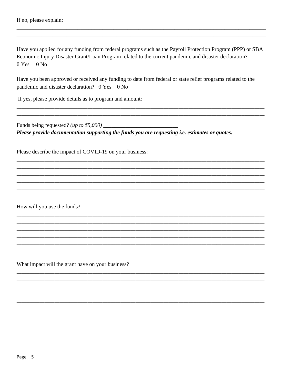Have you applied for any funding from federal programs such as the Payroll Protection Program (PPP) or SBA Economic Injury Disaster Grant/Loan Program related to the current pandemic and disaster declaration?  $\theta$  Yes  $\theta$  No

Have you been approved or received any funding to date from federal or state relief programs related to the pandemic and disaster declaration?  $\theta$  Yes  $\theta$  No

If yes, please provide details as to program and amount:

Funds being requested? (*up to \$5,000*)  $\_\_$ Please provide documentation supporting the funds you are requesting *i.e.* estimates or quotes.

Please describe the impact of COVID-19 on your business:

How will you use the funds?

What impact will the grant have on your business?